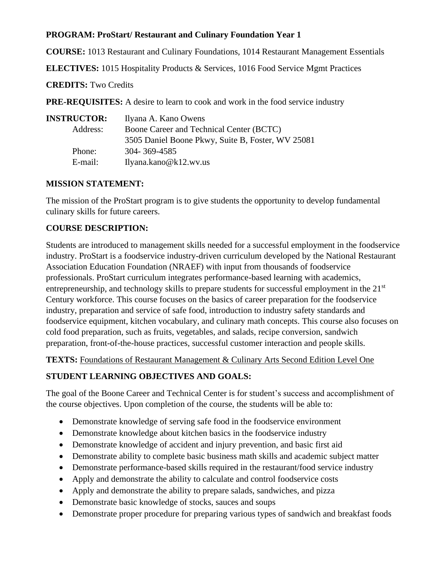#### **PROGRAM: ProStart/ Restaurant and Culinary Foundation Year 1**

**COURSE:** 1013 Restaurant and Culinary Foundations, 1014 Restaurant Management Essentials

**ELECTIVES:** 1015 Hospitality Products & Services, 1016 Food Service Mgmt Practices

**CREDITS:** Two Credits

**PRE-REQUISITES:** A desire to learn to cook and work in the food service industry

| <b>INSTRUCTOR:</b> | Ilyana A. Kano Owens                              |
|--------------------|---------------------------------------------------|
| Address:           | Boone Career and Technical Center (BCTC)          |
|                    | 3505 Daniel Boone Pkwy, Suite B, Foster, WV 25081 |
| Phone:             | 304-369-4585                                      |
| E-mail:            | Ilyana.kano@k12.wv.us                             |

#### **MISSION STATEMENT:**

The mission of the ProStart program is to give students the opportunity to develop fundamental culinary skills for future careers.

#### **COURSE DESCRIPTION:**

Students are introduced to management skills needed for a successful employment in the foodservice industry. ProStart is a foodservice industry-driven curriculum developed by the National Restaurant Association Education Foundation (NRAEF) with input from thousands of foodservice professionals. ProStart curriculum integrates performance-based learning with academics, entrepreneurship, and technology skills to prepare students for successful employment in the  $21<sup>st</sup>$ Century workforce. This course focuses on the basics of career preparation for the foodservice industry, preparation and service of safe food, introduction to industry safety standards and foodservice equipment, kitchen vocabulary, and culinary math concepts. This course also focuses on cold food preparation, such as fruits, vegetables, and salads, recipe conversion, sandwich preparation, front-of-the-house practices, successful customer interaction and people skills.

**TEXTS:** Foundations of Restaurant Management & Culinary Arts Second Edition Level One

### **STUDENT LEARNING OBJECTIVES AND GOALS:**

The goal of the Boone Career and Technical Center is for student's success and accomplishment of the course objectives. Upon completion of the course, the students will be able to:

- Demonstrate knowledge of serving safe food in the foodservice environment
- Demonstrate knowledge about kitchen basics in the foodservice industry
- Demonstrate knowledge of accident and injury prevention, and basic first aid
- Demonstrate ability to complete basic business math skills and academic subject matter
- Demonstrate performance-based skills required in the restaurant/food service industry
- Apply and demonstrate the ability to calculate and control foodservice costs
- Apply and demonstrate the ability to prepare salads, sandwiches, and pizza
- Demonstrate basic knowledge of stocks, sauces and soups
- Demonstrate proper procedure for preparing various types of sandwich and breakfast foods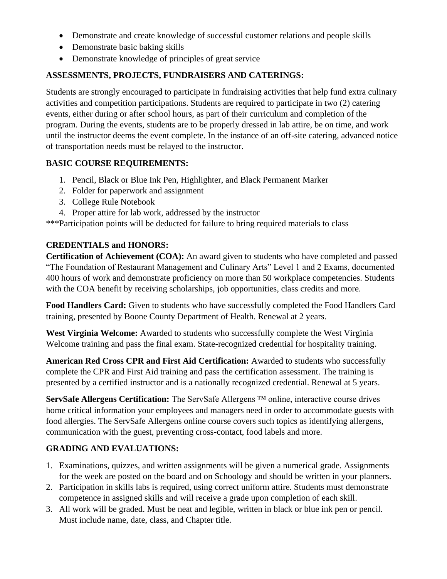- Demonstrate and create knowledge of successful customer relations and people skills
- Demonstrate basic baking skills
- Demonstrate knowledge of principles of great service

## **ASSESSMENTS, PROJECTS, FUNDRAISERS AND CATERINGS:**

Students are strongly encouraged to participate in fundraising activities that help fund extra culinary activities and competition participations. Students are required to participate in two (2) catering events, either during or after school hours, as part of their curriculum and completion of the program. During the events, students are to be properly dressed in lab attire, be on time, and work until the instructor deems the event complete. In the instance of an off-site catering, advanced notice of transportation needs must be relayed to the instructor.

## **BASIC COURSE REQUIREMENTS:**

- 1. Pencil, Black or Blue Ink Pen, Highlighter, and Black Permanent Marker
- 2. Folder for paperwork and assignment
- 3. College Rule Notebook
- 4. Proper attire for lab work, addressed by the instructor

\*\*\*Participation points will be deducted for failure to bring required materials to class

### **CREDENTIALS and HONORS:**

**Certification of Achievement (COA):** An award given to students who have completed and passed "The Foundation of Restaurant Management and Culinary Arts" Level 1 and 2 Exams, documented 400 hours of work and demonstrate proficiency on more than 50 workplace competencies. Students with the COA benefit by receiving scholarships, job opportunities, class credits and more.

**Food Handlers Card:** Given to students who have successfully completed the Food Handlers Card training, presented by Boone County Department of Health. Renewal at 2 years.

**West Virginia Welcome:** Awarded to students who successfully complete the West Virginia Welcome training and pass the final exam. State-recognized credential for hospitality training.

**American Red Cross CPR and First Aid Certification:** Awarded to students who successfully complete the CPR and First Aid training and pass the certification assessment. The training is presented by a certified instructor and is a nationally recognized credential. Renewal at 5 years.

**ServSafe Allergens Certification:** The ServSafe Allergens ™ online, interactive course drives home critical information your employees and managers need in order to accommodate guests with food allergies. The ServSafe Allergens online course covers such topics as identifying allergens, communication with the guest, preventing cross-contact, food labels and more.

# **GRADING AND EVALUATIONS:**

- 1. Examinations, quizzes, and written assignments will be given a numerical grade. Assignments for the week are posted on the board and on Schoology and should be written in your planners.
- 2. Participation in skills labs is required, using correct uniform attire. Students must demonstrate competence in assigned skills and will receive a grade upon completion of each skill.
- 3. All work will be graded. Must be neat and legible, written in black or blue ink pen or pencil. Must include name, date, class, and Chapter title.